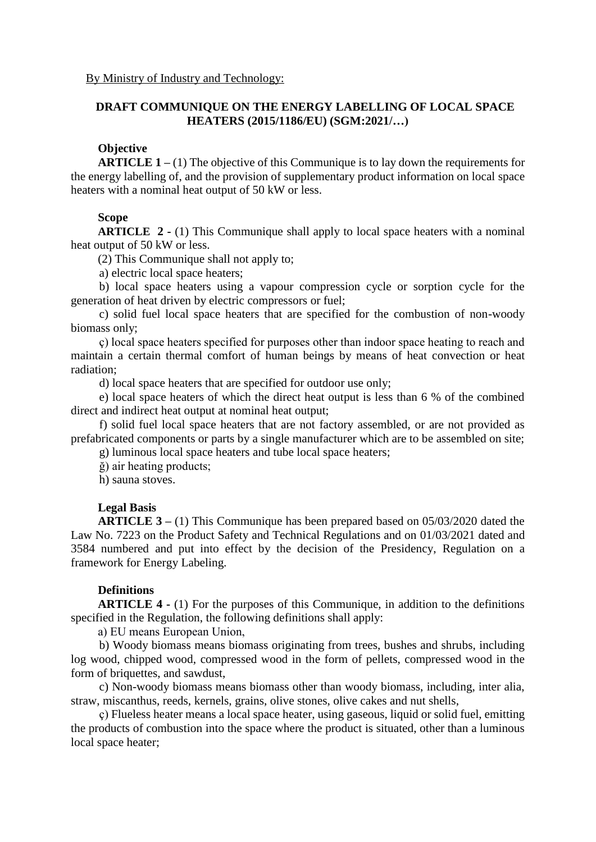## **DRAFT COMMUNIQUE ON THE ENERGY LABELLING OF LOCAL SPACE HEATERS (2015/1186/EU) (SGM:2021/…)**

### **Objective**

**ARTICLE 1 –** (1) The objective of this Communique is to lay down the requirements for the energy labelling of, and the provision of supplementary product information on local space heaters with a nominal heat output of 50 kW or less.

## **Scope**

**ARTICLE 2 -** (1) This Communique shall apply to local space heaters with a nominal heat output of 50 kW or less.

(2) This Communique shall not apply to;

a) electric local space heaters;

b) local space heaters using a vapour compression cycle or sorption cycle for the generation of heat driven by electric compressors or fuel;

c) solid fuel local space heaters that are specified for the combustion of non-woody biomass only;

ç) local space heaters specified for purposes other than indoor space heating to reach and maintain a certain thermal comfort of human beings by means of heat convection or heat radiation;

d) local space heaters that are specified for outdoor use only;

e) local space heaters of which the direct heat output is less than 6 % of the combined direct and indirect heat output at nominal heat output;

f) solid fuel local space heaters that are not factory assembled, or are not provided as prefabricated components or parts by a single manufacturer which are to be assembled on site;

g) luminous local space heaters and tube local space heaters;

ğ) air heating products;

h) sauna stoves.

## **Legal Basis**

**ARTICLE 3 –** (1) This Communique has been prepared based on 05/03/2020 dated the Law No. 7223 on the Product Safety and Technical Regulations and on 01/03/2021 dated and 3584 numbered and put into effect by the decision of the Presidency, Regulation on a framework for Energy Labeling.

### **Definitions**

**ARTICLE 4 -** (1) For the purposes of this Communique, in addition to the definitions specified in the Regulation, the following definitions shall apply:

a) EU means European Union,

b) Woody biomass means biomass originating from trees, bushes and shrubs, including log wood, chipped wood, compressed wood in the form of pellets, compressed wood in the form of briquettes, and sawdust,

c) Non-woody biomass means biomass other than woody biomass, including, inter alia, straw, miscanthus, reeds, kernels, grains, olive stones, olive cakes and nut shells,

ç) Flueless heater means a local space heater, using gaseous, liquid or solid fuel, emitting the products of combustion into the space where the product is situated, other than a luminous local space heater;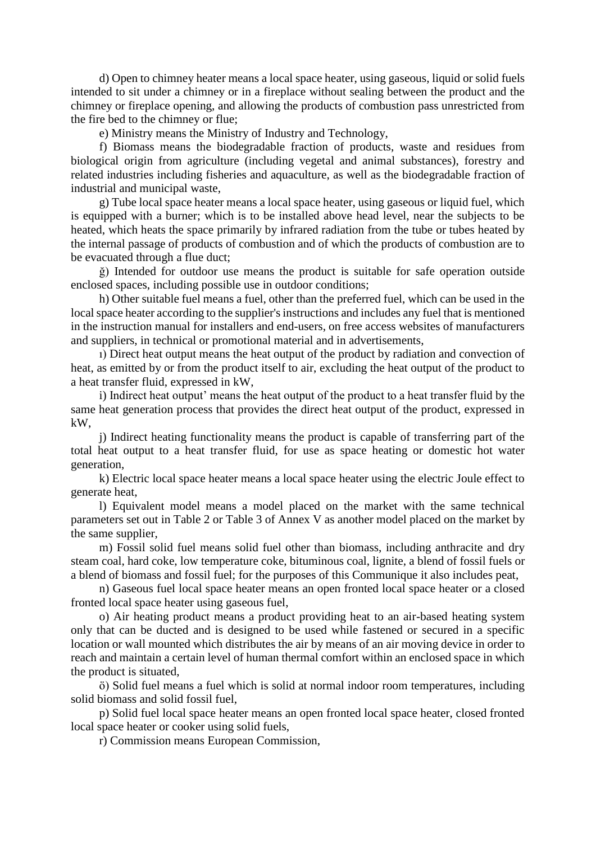d) Open to chimney heater means a local space heater, using gaseous, liquid or solid fuels intended to sit under a chimney or in a fireplace without sealing between the product and the chimney or fireplace opening, and allowing the products of combustion pass unrestricted from the fire bed to the chimney or flue;

e) Ministry means the Ministry of Industry and Technology,

f) Biomass means the biodegradable fraction of products, waste and residues from biological origin from agriculture (including vegetal and animal substances), forestry and related industries including fisheries and aquaculture, as well as the biodegradable fraction of industrial and municipal waste,

g) Tube local space heater means a local space heater, using gaseous or liquid fuel, which is equipped with a burner; which is to be installed above head level, near the subjects to be heated, which heats the space primarily by infrared radiation from the tube or tubes heated by the internal passage of products of combustion and of which the products of combustion are to be evacuated through a flue duct;

ğ) Intended for outdoor use means the product is suitable for safe operation outside enclosed spaces, including possible use in outdoor conditions;

h) Other suitable fuel means a fuel, other than the preferred fuel, which can be used in the local space heater according to the supplier's instructions and includes any fuel that is mentioned in the instruction manual for installers and end-users, on free access websites of manufacturers and suppliers, in technical or promotional material and in advertisements,

ı) Direct heat output means the heat output of the product by radiation and convection of heat, as emitted by or from the product itself to air, excluding the heat output of the product to a heat transfer fluid, expressed in kW,

i) Indirect heat output' means the heat output of the product to a heat transfer fluid by the same heat generation process that provides the direct heat output of the product, expressed in kW,

j) Indirect heating functionality means the product is capable of transferring part of the total heat output to a heat transfer fluid, for use as space heating or domestic hot water generation,

k) Electric local space heater means a local space heater using the electric Joule effect to generate heat,

l) Equivalent model means a model placed on the market with the same technical parameters set out in Table 2 or Table 3 of Annex V as another model placed on the market by the same supplier,

m) Fossil solid fuel means solid fuel other than biomass, including anthracite and dry steam coal, hard coke, low temperature coke, bituminous coal, lignite, a blend of fossil fuels or a blend of biomass and fossil fuel; for the purposes of this Communique it also includes peat,

n) Gaseous fuel local space heater means an open fronted local space heater or a closed fronted local space heater using gaseous fuel,

o) Air heating product means a product providing heat to an air-based heating system only that can be ducted and is designed to be used while fastened or secured in a specific location or wall mounted which distributes the air by means of an air moving device in order to reach and maintain a certain level of human thermal comfort within an enclosed space in which the product is situated,

ö) Solid fuel means a fuel which is solid at normal indoor room temperatures, including solid biomass and solid fossil fuel,

p) Solid fuel local space heater means an open fronted local space heater, closed fronted local space heater or cooker using solid fuels,

r) Commission means European Commission,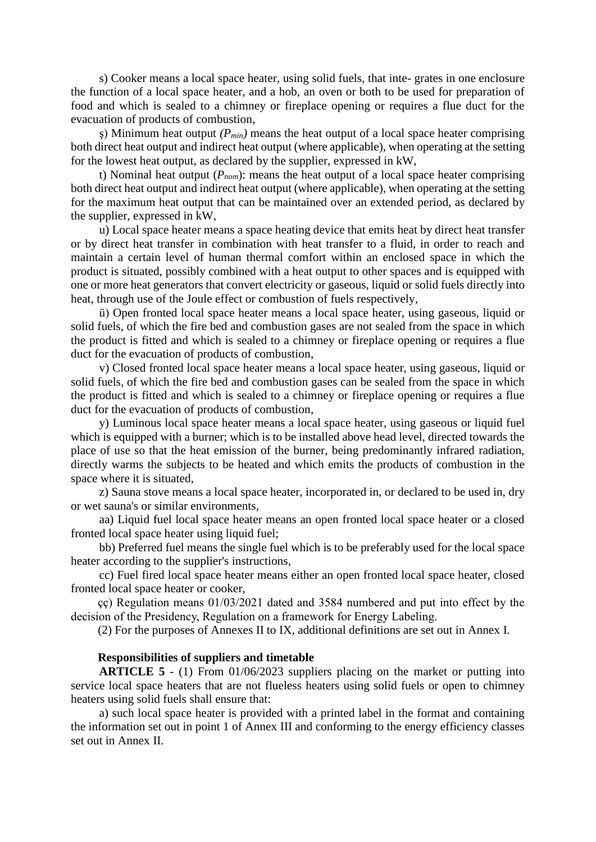s) Cooker means a local space heater, using solid fuels, that inte- grates in one enclosure the function of a local space heater, and a hob, an oven or both to be used for preparation of food and which is sealed to a chimney or fireplace opening or requires a flue duct for the evacuation of products of combustion,

 $\varsigma$ ) Minimum heat output *(P<sub>min</sub>)* means the heat output of a local space heater comprising both direct heat output and indirect heat output (where applicable), when operating at the setting for the lowest heat output, as declared by the supplier, expressed in kW,

t) Nominal heat output (*Pnom*): means the heat output of a local space heater comprising both direct heat output and indirect heat output (where applicable), when operating at the setting for the maximum heat output that can be maintained over an extended period, as declared by the supplier, expressed in kW,

u) Local space heater means a space heating device that emits heat by direct heat transfer or by direct heat transfer in combination with heat transfer to a fluid, in order to reach and maintain a certain level of human thermal comfort within an enclosed space in which the product is situated, possibly combined with a heat output to other spaces and is equipped with one or more heat generators that convert electricity or gaseous, liquid or solid fuels directly into heat, through use of the Joule effect or combustion of fuels respectively,

ü) Open fronted local space heater means a local space heater, using gaseous, liquid or solid fuels, of which the fire bed and combustion gases are not sealed from the space in which the product is fitted and which is sealed to a chimney or fireplace opening or requires a flue duct for the evacuation of products of combustion,

v) Closed fronted local space heater means a local space heater, using gaseous, liquid or solid fuels, of which the fire bed and combustion gases can be sealed from the space in which the product is fitted and which is sealed to a chimney or fireplace opening or requires a flue duct for the evacuation of products of combustion,

y) Luminous local space heater means a local space heater, using gaseous or liquid fuel which is equipped with a burner; which is to be installed above head level, directed towards the place of use so that the heat emission of the burner, being predominantly infrared radiation, directly warms the subjects to be heated and which emits the products of combustion in the space where it is situated,

z) Sauna stove means a local space heater, incorporated in, or declared to be used in, dry or wet sauna's or similar environments,

aa) Liquid fuel local space heater means an open fronted local space heater or a closed fronted local space heater using liquid fuel;

bb) Preferred fuel means the single fuel which is to be preferably used for the local space heater according to the supplier's instructions,

cc) Fuel fired local space heater means either an open fronted local space heater, closed fronted local space heater or cooker,

çç) Regulation means 01/03/2021 dated and 3584 numbered and put into effect by the decision of the Presidency, Regulation on a framework for Energy Labeling.

(2) For the purposes of Annexes II to IX, additional definitions are set out in Annex I.

### **Responsibilities of suppliers and timetable**

**ARTICLE 5** - (1) From 01/06/2023 suppliers placing on the market or putting into service local space heaters that are not flueless heaters using solid fuels or open to chimney heaters using solid fuels shall ensure that:

a) such local space heater is provided with a printed label in the format and containing the information set out in point 1 of Annex III and conforming to the energy efficiency classes set out in Annex II.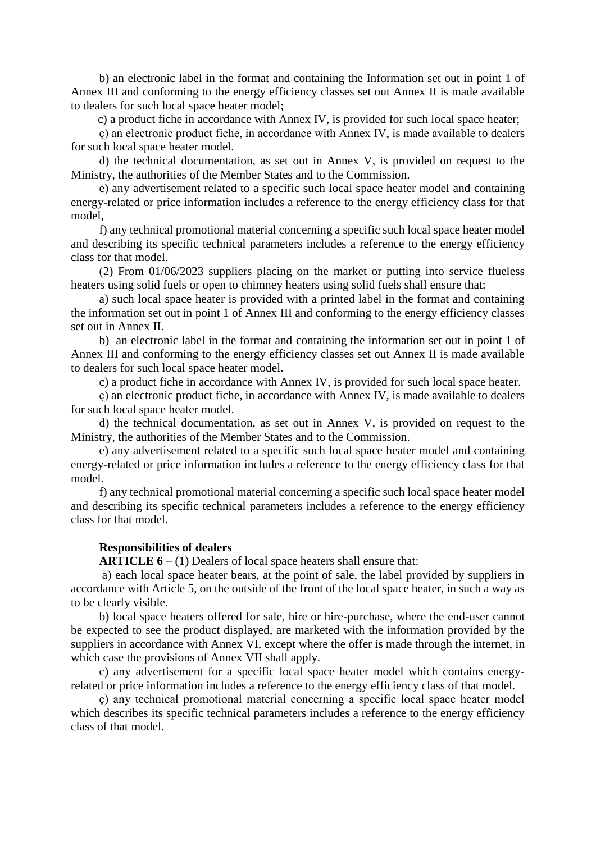b) an electronic label in the format and containing the Information set out in point 1 of Annex III and conforming to the energy efficiency classes set out Annex II is made available to dealers for such local space heater model;

c) a product fiche in accordance with Annex IV, is provided for such local space heater;

ç) an electronic product fiche, in accordance with Annex IV, is made available to dealers for such local space heater model.

d) the technical documentation, as set out in Annex V, is provided on request to the Ministry, the authorities of the Member States and to the Commission.

e) any advertisement related to a specific such local space heater model and containing energy-related or price information includes a reference to the energy efficiency class for that model,

f) any technical promotional material concerning a specific such local space heater model and describing its specific technical parameters includes a reference to the energy efficiency class for that model.

(2) From 01/06/2023 suppliers placing on the market or putting into service flueless heaters using solid fuels or open to chimney heaters using solid fuels shall ensure that:

a) such local space heater is provided with a printed label in the format and containing the information set out in point 1 of Annex III and conforming to the energy efficiency classes set out in Annex II.

b) an electronic label in the format and containing the information set out in point 1 of Annex III and conforming to the energy efficiency classes set out Annex II is made available to dealers for such local space heater model.

c) a product fiche in accordance with Annex IV, is provided for such local space heater.

ç) an electronic product fiche, in accordance with Annex IV, is made available to dealers for such local space heater model.

d) the technical documentation, as set out in Annex V, is provided on request to the Ministry, the authorities of the Member States and to the Commission.

e) any advertisement related to a specific such local space heater model and containing energy-related or price information includes a reference to the energy efficiency class for that model.

f) any technical promotional material concerning a specific such local space heater model and describing its specific technical parameters includes a reference to the energy efficiency class for that model.

### **Responsibilities of dealers**

**ARTICLE 6** – (1) Dealers of local space heaters shall ensure that:

a) each local space heater bears, at the point of sale, the label provided by suppliers in accordance with Article 5, on the outside of the front of the local space heater, in such a way as to be clearly visible.

b) local space heaters offered for sale, hire or hire-purchase, where the end-user cannot be expected to see the product displayed, are marketed with the information provided by the suppliers in accordance with Annex VI, except where the offer is made through the internet, in which case the provisions of Annex VII shall apply.

c) any advertisement for a specific local space heater model which contains energyrelated or price information includes a reference to the energy efficiency class of that model.

ç) any technical promotional material concerning a specific local space heater model which describes its specific technical parameters includes a reference to the energy efficiency class of that model.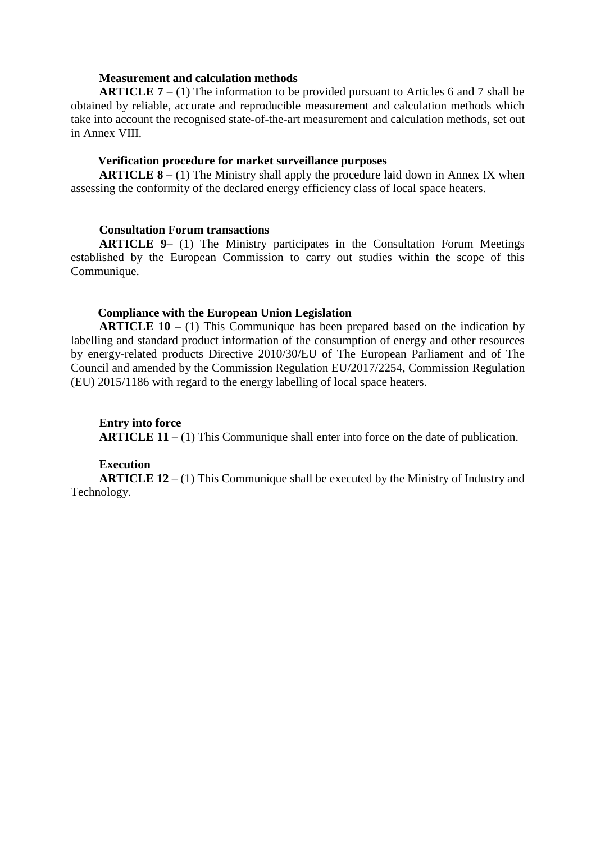### **Measurement and calculation methods**

**ARTICLE 7 –** (1) The information to be provided pursuant to Articles 6 and 7 shall be obtained by reliable, accurate and reproducible measurement and calculation methods which take into account the recognised state-of-the-art measurement and calculation methods, set out in Annex VIII.

### **Verification procedure for market surveillance purposes**

**ARTICLE 8 –** (1) The Ministry shall apply the procedure laid down in Annex IX when assessing the conformity of the declared energy efficiency class of local space heaters.

### **Consultation Forum transactions**

**ARTICLE 9**– (1) The Ministry participates in the Consultation Forum Meetings established by the European Commission to carry out studies within the scope of this Communique.

## **Compliance with the European Union Legislation**

**ARTICLE 10 –** (1) This Communique has been prepared based on the indication by labelling and standard product information of the consumption of energy and other resources by energy-related products Directive 2010/30/EU of The European Parliament and of The Council and amended by the Commission Regulation EU/2017/2254, Commission Regulation (EU) 2015/1186 with regard to [the energy labelling of local space heaters.](http://data.europa.eu/eli/reg_del/2015/1186/oj/eng)

## **Entry into force**

**ARTICLE 11** – (1) This Communique shall enter into force on the date of publication.

### **Execution**

**ARTICLE 12** – (1) This Communique shall be executed by the Ministry of Industry and Technology.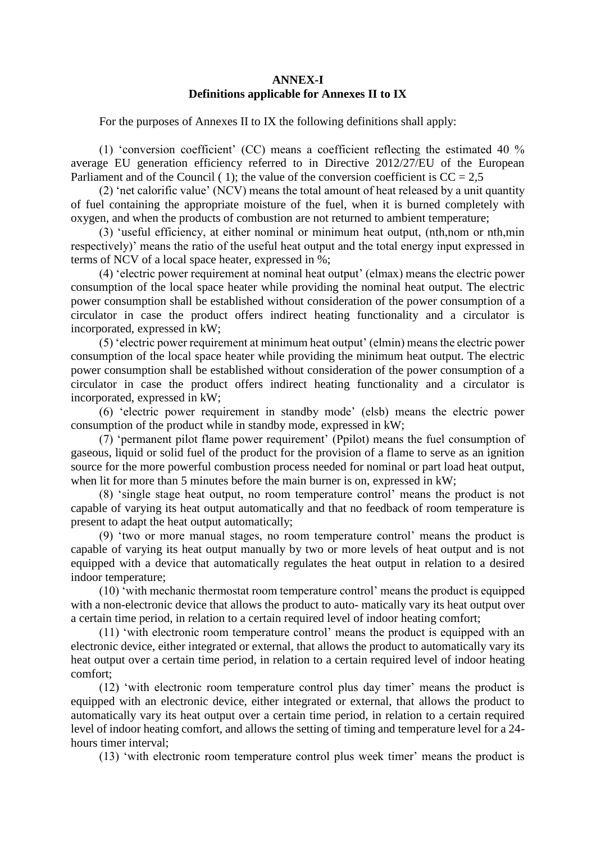### **ANNEX-I Definitions applicable for Annexes II to IX**

For the purposes of Annexes II to IX the following definitions shall apply:

(1) 'conversion coefficient' (CC) means a coefficient reflecting the estimated 40 % average EU generation efficiency referred to in Directive 2012/27/EU of the European Parliament and of the Council (1); the value of the conversion coefficient is  $CC = 2.5$ 

(2) 'net calorific value' (NCV) means the total amount of heat released by a unit quantity of fuel containing the appropriate moisture of the fuel, when it is burned completely with oxygen, and when the products of combustion are not returned to ambient temperature;

(3) 'useful efficiency, at either nominal or minimum heat output, (nth,nom or nth,min respectively)' means the ratio of the useful heat output and the total energy input expressed in terms of NCV of a local space heater, expressed in %;

(4) 'electric power requirement at nominal heat output' (elmax) means the electric power consumption of the local space heater while providing the nominal heat output. The electric power consumption shall be established without consideration of the power consumption of a circulator in case the product offers indirect heating functionality and a circulator is incorporated, expressed in kW;

(5) 'electric power requirement at minimum heat output' (elmin) means the electric power consumption of the local space heater while providing the minimum heat output. The electric power consumption shall be established without consideration of the power consumption of a circulator in case the product offers indirect heating functionality and a circulator is incorporated, expressed in kW;

(6) 'electric power requirement in standby mode' (elsb) means the electric power consumption of the product while in standby mode, expressed in kW;

(7) 'permanent pilot flame power requirement' (Ppilot) means the fuel consumption of gaseous, liquid or solid fuel of the product for the provision of a flame to serve as an ignition source for the more powerful combustion process needed for nominal or part load heat output, when lit for more than 5 minutes before the main burner is on, expressed in kW;

(8) 'single stage heat output, no room temperature control' means the product is not capable of varying its heat output automatically and that no feedback of room temperature is present to adapt the heat output automatically;

(9) 'two or more manual stages, no room temperature control' means the product is capable of varying its heat output manually by two or more levels of heat output and is not equipped with a device that automatically regulates the heat output in relation to a desired indoor temperature;

(10) 'with mechanic thermostat room temperature control' means the product is equipped with a non-electronic device that allows the product to auto- matically vary its heat output over a certain time period, in relation to a certain required level of indoor heating comfort;

(11) 'with electronic room temperature control' means the product is equipped with an electronic device, either integrated or external, that allows the product to automatically vary its heat output over a certain time period, in relation to a certain required level of indoor heating comfort;

(12) 'with electronic room temperature control plus day timer' means the product is equipped with an electronic device, either integrated or external, that allows the product to automatically vary its heat output over a certain time period, in relation to a certain required level of indoor heating comfort, and allows the setting of timing and temperature level for a 24 hours timer interval;

(13) 'with electronic room temperature control plus week timer' means the product is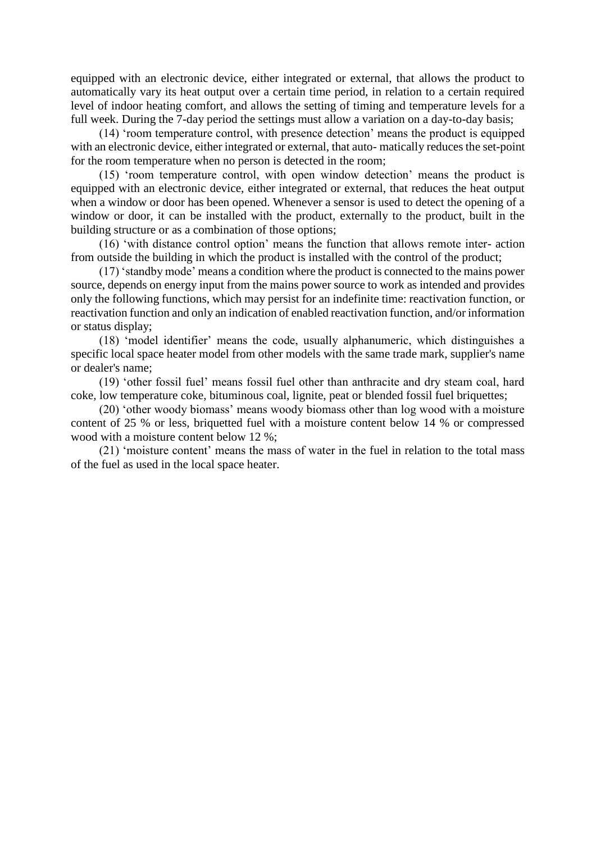equipped with an electronic device, either integrated or external, that allows the product to automatically vary its heat output over a certain time period, in relation to a certain required level of indoor heating comfort, and allows the setting of timing and temperature levels for a full week. During the 7-day period the settings must allow a variation on a day-to-day basis;

(14) 'room temperature control, with presence detection' means the product is equipped with an electronic device, either integrated or external, that auto- matically reduces the set-point for the room temperature when no person is detected in the room;

(15) 'room temperature control, with open window detection' means the product is equipped with an electronic device, either integrated or external, that reduces the heat output when a window or door has been opened. Whenever a sensor is used to detect the opening of a window or door, it can be installed with the product, externally to the product, built in the building structure or as a combination of those options;

(16) 'with distance control option' means the function that allows remote inter- action from outside the building in which the product is installed with the control of the product;

(17) 'standby mode' means a condition where the product is connected to the mains power source, depends on energy input from the mains power source to work as intended and provides only the following functions, which may persist for an indefinite time: reactivation function, or reactivation function and only an indication of enabled reactivation function, and/or information or status display;

(18) 'model identifier' means the code, usually alphanumeric, which distinguishes a specific local space heater model from other models with the same trade mark, supplier's name or dealer's name;

(19) 'other fossil fuel' means fossil fuel other than anthracite and dry steam coal, hard coke, low temperature coke, bituminous coal, lignite, peat or blended fossil fuel briquettes;

(20) 'other woody biomass' means woody biomass other than log wood with a moisture content of 25 % or less, briquetted fuel with a moisture content below 14 % or compressed wood with a moisture content below 12 %;

(21) 'moisture content' means the mass of water in the fuel in relation to the total mass of the fuel as used in the local space heater.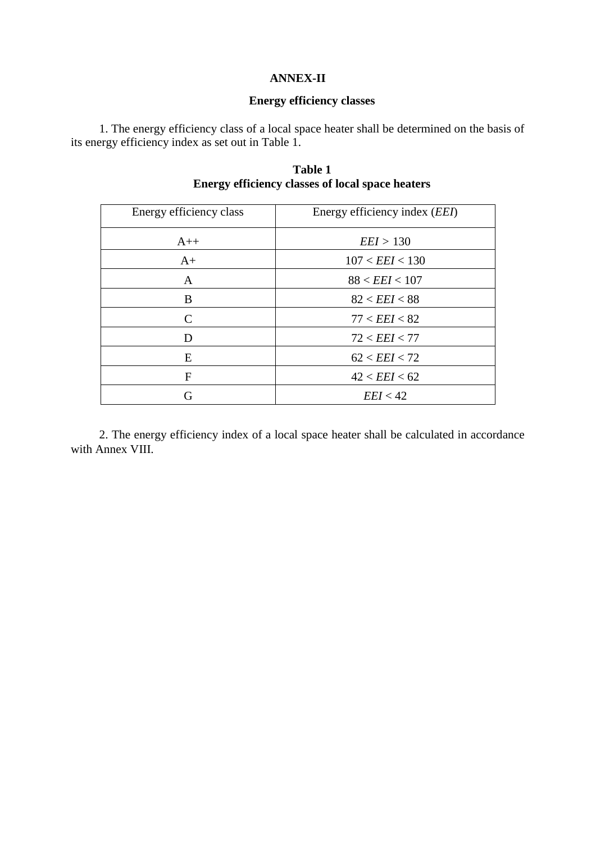### **ANNEX-II**

## **Energy efficiency classes**

1. The energy efficiency class of a local space heater shall be determined on the basis of its energy efficiency index as set out in Table 1.

| Energy efficiency class | Energy efficiency index ( <i>EEI</i> ) |
|-------------------------|----------------------------------------|
| $A++$                   | EEI > 130                              |
| $A+$                    | 107 < EEI < 130                        |
| A                       | 88 < EEI < 107                         |
| B                       | 82 < EEI < 88                          |
| $\mathcal{C}$           | 77 < EEI < 82                          |
| D                       | 72 < EEI < 77                          |
| E                       | 62 < EEI < 72                          |
| F                       | 42 < EEI < 62                          |
| G                       | EEI < 42                               |

**Table 1 Energy efficiency classes of local space heaters**

2. The energy efficiency index of a local space heater shall be calculated in accordance with Annex VIII.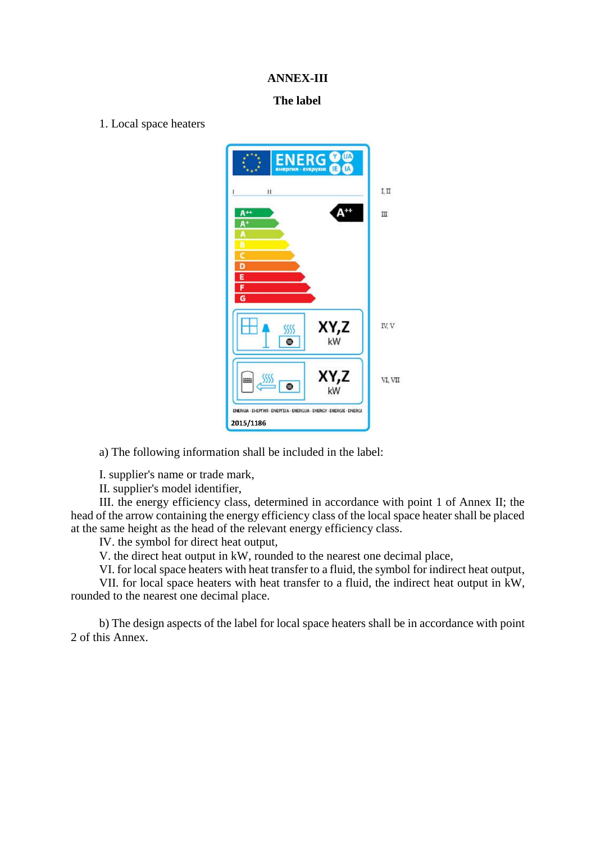### **ANNEX-III**

### **The label**

1. Local space heaters



a) The following information shall be included in the label:

I. supplier's name or trade mark,

II. supplier's model identifier,

III. the energy efficiency class, determined in accordance with point 1 of Annex II; the head of the arrow containing the energy efficiency class of the local space heater shall be placed at the same height as the head of the relevant energy efficiency class.

IV. the symbol for direct heat output,

V. the direct heat output in kW, rounded to the nearest one decimal place,

VI. for local space heaters with heat transfer to a fluid, the symbol for indirect heat output,

VII. for local space heaters with heat transfer to a fluid, the indirect heat output in kW, rounded to the nearest one decimal place.

b) The design aspects of the label for local space heaters shall be in accordance with point 2 of this Annex.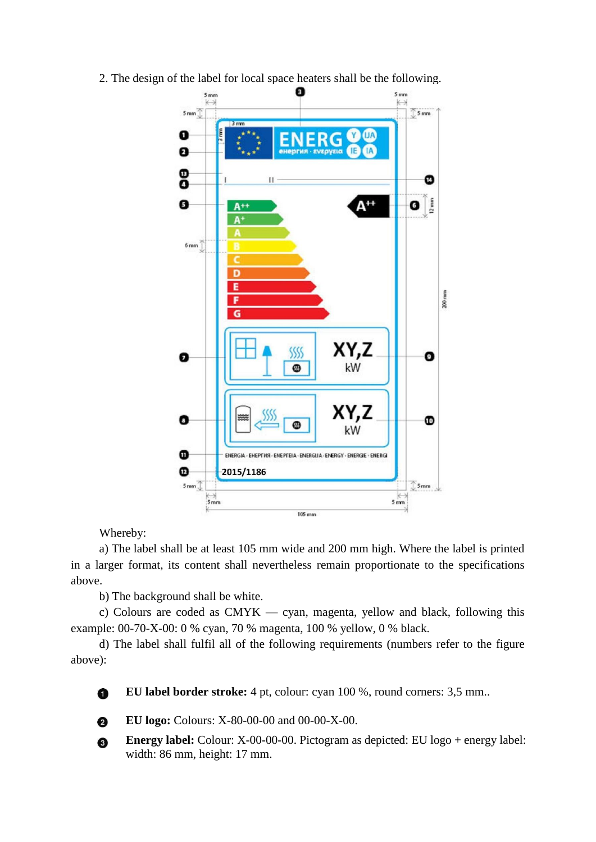2. The design of the label for local space heaters shall be the following.



Whereby:

a) The label shall be at least 105 mm wide and 200 mm high. Where the label is printed in a larger format, its content shall nevertheless remain proportionate to the specifications above.

b) The background shall be white.

c) Colours are coded as CMYK — cyan, magenta, yellow and black, following this example: 00-70-X-00: 0 % cyan, 70 % magenta, 100 % yellow, 0 % black.

d) The label shall fulfil all of the following requirements (numbers refer to the figure above):

**EU label border stroke:** 4 pt, colour: cyan 100 %, round corners: 3,5 mm... 0



**EU logo:** Colours: X-80-00-00 and 00-00-X-00.

**Energy label:** Colour: X-00-00-00. Pictogram as depicted: EU logo + energy label: ❸ width: 86 mm, height: 17 mm.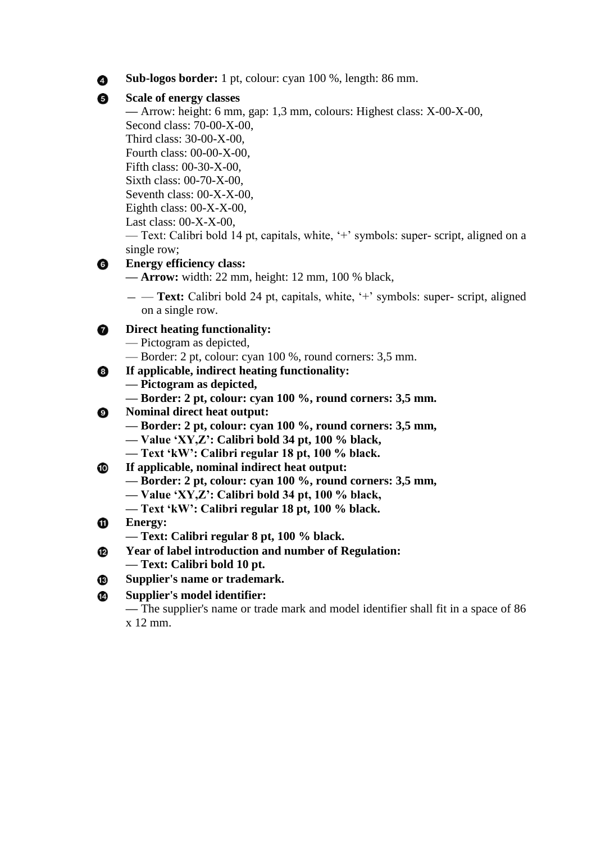**Sub-logos border:** 1 pt, colour: cyan 100 %, length: 86 mm.

## **Scale of energy classes**

**—** Arrow: height: 6 mm, gap: 1,3 mm, colours: Highest class: X-00-X-00, Second class: 70-00-X-00, Third class: 30-00-X-00, Fourth class: 00-00-X-00, Fifth class: 00-30-X-00, Sixth class: 00-70-X-00, Seventh class: 00-X-X-00,

Eighth class:  $00-X-X-00$ ,

Last class: 00-X-X-00,

— Text: Calibri bold 14 pt, capitals, white, '+' symbols: super- script, aligned on a single row;

#### **Energy efficiency class:**  $\bullet$

**— Arrow:** width: 22 mm, height: 12 mm, 100 % black,

— — **Text:** Calibri bold 24 pt, capitals, white, '+' symbols: super- script, aligned on a single row.

#### 0 **Direct heating functionality:**

- Pictogram as depicted,
- Border: 2 pt, colour: cyan 100 %, round corners: 3,5 mm.
- **If applicable, indirect heating functionality:** ❸
	- **— Pictogram as depicted,**
	- **— Border: 2 pt, colour: cyan 100 %, round corners: 3,5 mm.**
- **Nominal direct heat output:** ◉
	- **— Border: 2 pt, colour: cyan 100 %, round corners: 3,5 mm,**
	- **— Value 'XY,Z': Calibri bold 34 pt, 100 % black,**
	- **— Text 'kW': Calibri regular 18 pt, 100 % black.**
- ⋒ **If applicable, nominal indirect heat output:**
	- **— Border: 2 pt, colour: cyan 100 %, round corners: 3,5 mm,**
	- **— Value 'XY,Z': Calibri bold 34 pt, 100 % black,**
	- **— Text 'kW': Calibri regular 18 pt, 100 % black.**
- ➊ **Energy:**
	- **— Text: Calibri regular 8 pt, 100 % black.**
- **Year of label introduction and number of Regulation:** ® **— Text: Calibri bold 10 pt.**
- **Supplier's name or trademark.** ®
- Ø **Supplier's model identifier:**

**—** The supplier's name or trade mark and model identifier shall fit in a space of 86 x 12 mm.

4 6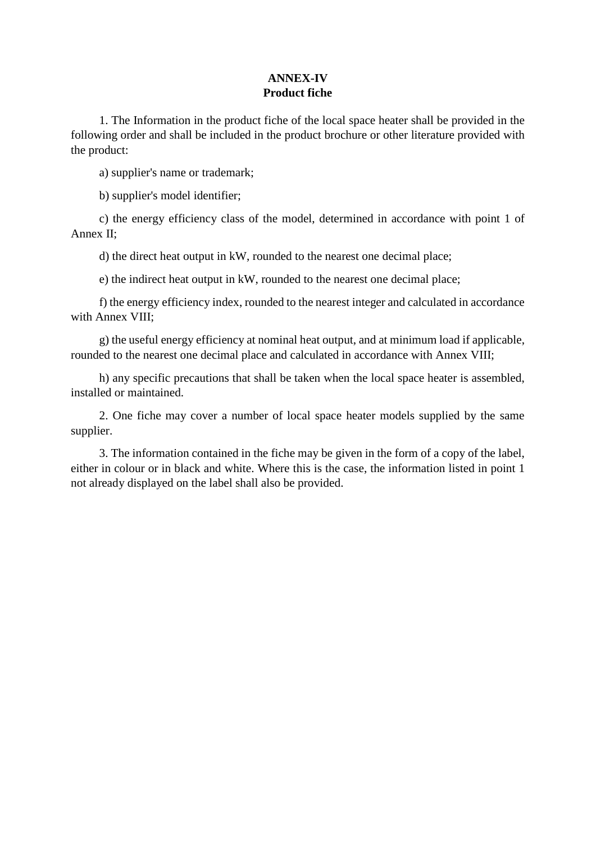## **ANNEX-IV Product fiche**

1. The Information in the product fiche of the local space heater shall be provided in the following order and shall be included in the product brochure or other literature provided with the product:

a) supplier's name or trademark;

b) supplier's model identifier;

c) the energy efficiency class of the model, determined in accordance with point 1 of Annex II;

d) the direct heat output in kW, rounded to the nearest one decimal place;

e) the indirect heat output in kW, rounded to the nearest one decimal place;

f) the energy efficiency index, rounded to the nearest integer and calculated in accordance with Annex VIII:

g) the useful energy efficiency at nominal heat output, and at minimum load if applicable, rounded to the nearest one decimal place and calculated in accordance with Annex VIII;

h) any specific precautions that shall be taken when the local space heater is assembled, installed or maintained.

2. One fiche may cover a number of local space heater models supplied by the same supplier.

3. The information contained in the fiche may be given in the form of a copy of the label, either in colour or in black and white. Where this is the case, the information listed in point 1 not already displayed on the label shall also be provided.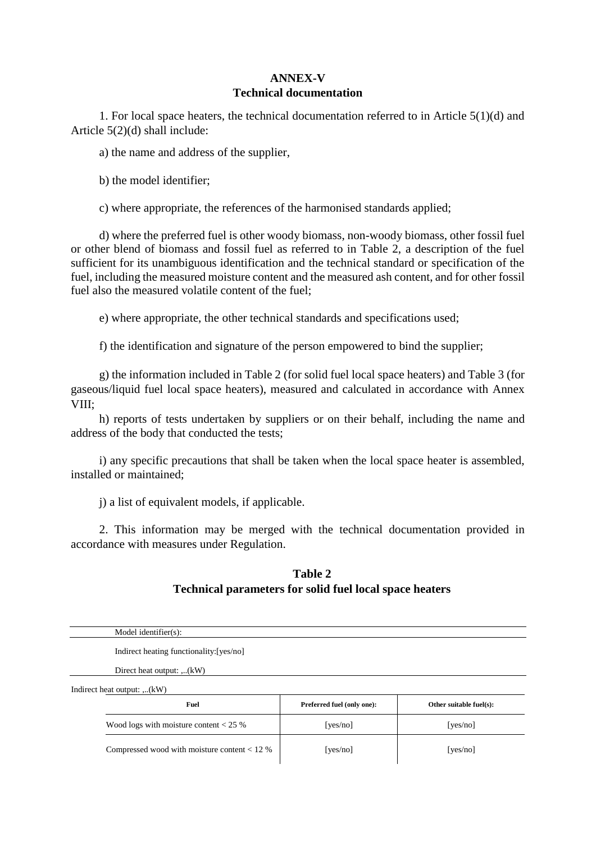### **ANNEX-V Technical documentation**

1. For local space heaters, the technical documentation referred to in Article 5(1)(d) and Article 5(2)(d) shall include:

a) the name and address of the supplier,

b) the model identifier;

c) where appropriate, the references of the harmonised standards applied;

d) where the preferred fuel is other woody biomass, non-woody biomass, other fossil fuel or other blend of biomass and fossil fuel as referred to in Table 2, a description of the fuel sufficient for its unambiguous identification and the technical standard or specification of the fuel, including the measured moisture content and the measured ash content, and for other fossil fuel also the measured volatile content of the fuel;

e) where appropriate, the other technical standards and specifications used;

f) the identification and signature of the person empowered to bind the supplier;

g) the information included in Table 2 (for solid fuel local space heaters) and Table 3 (for gaseous/liquid fuel local space heaters), measured and calculated in accordance with Annex VIII;

h) reports of tests undertaken by suppliers or on their behalf, including the name and address of the body that conducted the tests;

i) any specific precautions that shall be taken when the local space heater is assembled, installed or maintained;

j) a list of equivalent models, if applicable.

2. This information may be merged with the technical documentation provided in accordance with measures under Regulation.

## **Table 2 Technical parameters for solid fuel local space heaters**

| Model identifier(s):                           |                            |                         |
|------------------------------------------------|----------------------------|-------------------------|
| Indirect heating functionality: [yes/no]       |                            |                         |
| Direct heat output: $(kW)$                     |                            |                         |
| Indirect heat output: ,(kW)                    |                            |                         |
| Fuel                                           | Preferred fuel (only one): | Other suitable fuel(s): |
| Wood logs with moisture content $< 25$ %       | [yes/no]                   | [yes/no]                |
| Compressed wood with moisture content $< 12 %$ | [yes/no]                   | [yes/no]                |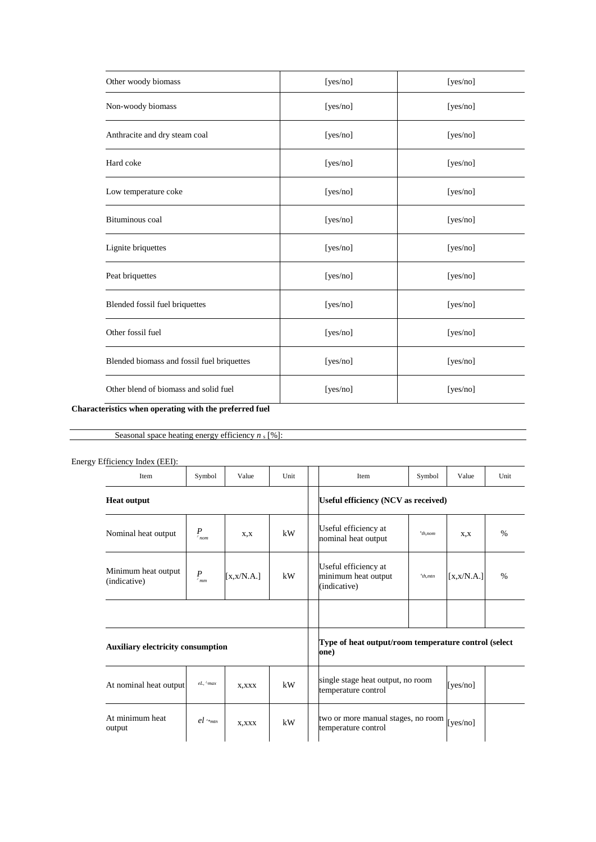| Other woody biomass                                                                                                                                  | [yes/no] | [yes/no] |
|------------------------------------------------------------------------------------------------------------------------------------------------------|----------|----------|
| Non-woody biomass                                                                                                                                    | [yes/no] | [yes/no] |
| Anthracite and dry steam coal                                                                                                                        | [yes/no] | [yes/no] |
| Hard coke                                                                                                                                            | [yes/no] | [yes/no] |
| Low temperature coke                                                                                                                                 | [yes/no] | [yes/no] |
| Bituminous coal                                                                                                                                      | [yes/no] | [yes/no] |
| Lignite briquettes                                                                                                                                   | [yes/no] | [yes/no] |
| Peat briquettes                                                                                                                                      | [yes/no] | [yes/no] |
| Blended fossil fuel briquettes                                                                                                                       | [yes/no] | [yes/no] |
| Other fossil fuel                                                                                                                                    | [yes/no] | [yes/no] |
| Blended biomass and fossil fuel briquettes                                                                                                           | [yes/no] | [yes/no] |
| Other blend of biomass and solid fuel<br>$\mathbf{r}$ , and $\mathbf{r}$ , and $\mathbf{r}$ , and $\mathbf{r}$ , and $\mathbf{r}$ , and $\mathbf{r}$ | [yes/no] | [yes/no] |

### **Characteristics when operating with the preferred fuel**

Seasonal space heating energy efficiency  $n_s$  [%]:

| Energy Efficiency Index (EEI):           |                  |             |      |  |                                                               |           |             |      |
|------------------------------------------|------------------|-------------|------|--|---------------------------------------------------------------|-----------|-------------|------|
| Item                                     | Symbol           | Value       | Unit |  | Item                                                          | Symbol    | Value       | Unit |
| <b>Heat output</b>                       |                  |             |      |  | Useful efficiency (NCV as received)                           |           |             |      |
| Nominal heat output                      | $P_{_{nom}}$     | X, X        | kW   |  | Useful efficiency at<br>nominal heat output                   | $nth$ nom | X, X        | %    |
| Minimum heat output<br>(indicative)      | $P_{_{\!r{mm}}}$ | [x, x/N.A.] | kW   |  | Useful efficiency at<br>minimum heat output<br>(indicative)   | $nth.mtn$ | [x, x/N.A.] | $\%$ |
|                                          |                  |             |      |  |                                                               |           |             |      |
| <b>Auxiliary electricity consumption</b> |                  |             |      |  | Type of heat output/room temperature control (select)<br>one) |           |             |      |

| At nominal heat output    | $eL, \lambda$ <sup>L</sup> max | X, XXX | kW | single stage heat output, no room<br>temperature control                   | [ves/no] |  |
|---------------------------|--------------------------------|--------|----|----------------------------------------------------------------------------|----------|--|
| At minimum heat<br>output | $el_{\text{mtn}}$              | X, XXX | kW | two or more manual stages, no room $\vert$ [yes/no]<br>temperature control |          |  |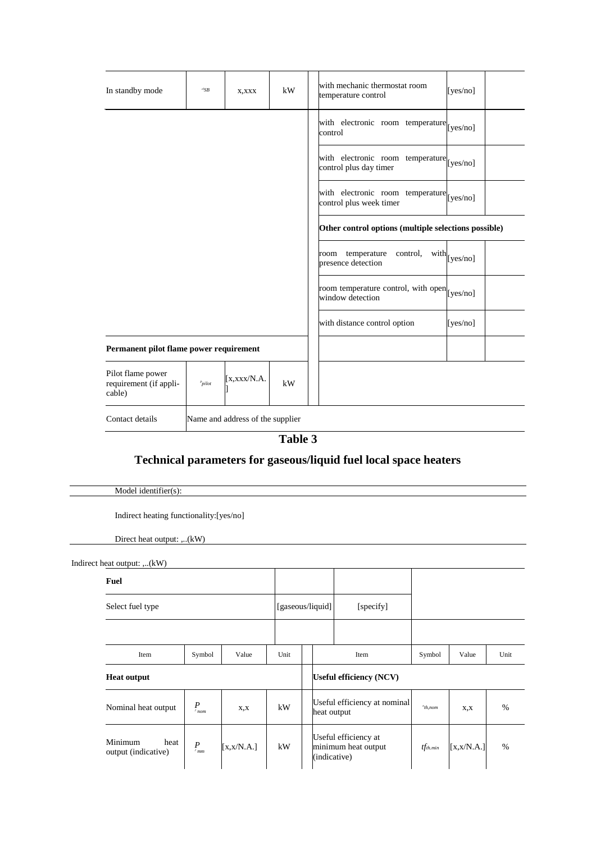| In standby mode                                       | $e^{t}SB$                        | X, XXX              | kW | with mechanic thermostat room<br>[yes/no]<br>temperature control         |  |
|-------------------------------------------------------|----------------------------------|---------------------|----|--------------------------------------------------------------------------|--|
|                                                       |                                  |                     |    | with electronic room temperature [yes/no]<br>control                     |  |
|                                                       |                                  |                     |    | with electronic room temperature [yes/no]<br>control plus day timer      |  |
|                                                       |                                  |                     |    | with electronic room temperature [yes/no]<br>control plus week timer     |  |
|                                                       |                                  |                     |    | Other control options (multiple selections possible)                     |  |
|                                                       |                                  |                     |    | temperature<br>control,<br>$with$ [yes/no]<br>room<br>presence detection |  |
|                                                       |                                  |                     |    | room temperature control, with open [yes/no]<br>window detection         |  |
|                                                       |                                  |                     |    | with distance control option<br>[ $yes/no$ ]                             |  |
| Permanent pilot flame power requirement               |                                  |                     |    |                                                                          |  |
| Pilot flame power<br>requirement (if appli-<br>cable) | $p_{pilot}$                      | $\left[$ x.xxx/N.A. | kW |                                                                          |  |
| Contact details                                       | Name and address of the supplier |                     |    |                                                                          |  |

**Table 3**

# **Technical parameters for gaseous/liquid fuel local space heaters**

Model identifier(s):

Indirect heating functionality:[yes/no]

Direct heat output: ,..(kW)

Indirect heat output: ,..(kW) **Fuel** Select fuel type [gaseous/liquid] [specify] Item Symbol Value Unit Item Symbol Value Unit **Heat output Useful efficiency (NCV)** Nominal heat output *P<sup>J</sup> nom*  $x, x$   $\downarrow$  kW Useful efficiency at nominal heat output *n x*,*x* | % Minimum heat output (indicative) *PJ mm* [x,x/N.A.] kW Useful efficiency at minimum heat output (indicative) *tfth.min* [x,x/N.A.] %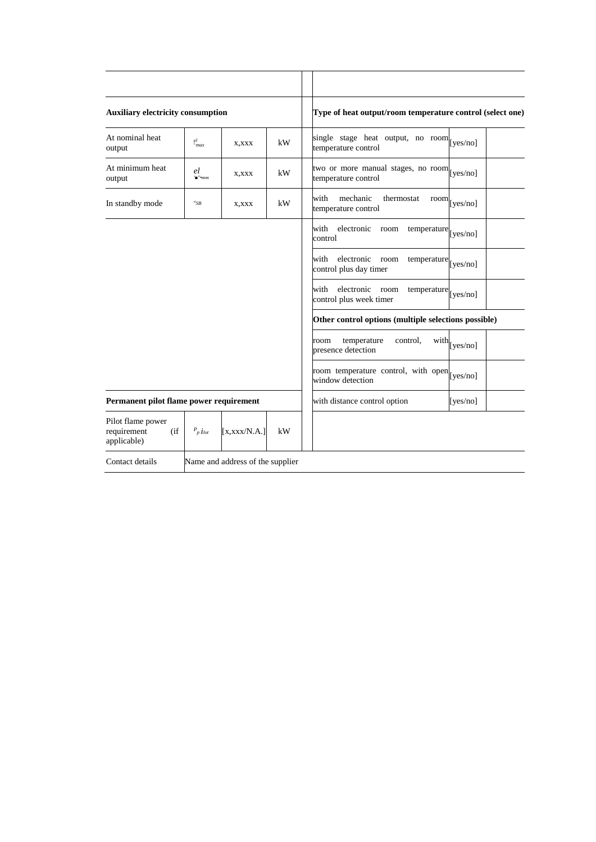| <b>Auxiliary electricity consumption</b>               |                                      |                                  |    | Type of heat output/room temperature control (select one)                     |                        |
|--------------------------------------------------------|--------------------------------------|----------------------------------|----|-------------------------------------------------------------------------------|------------------------|
| At nominal heat<br>output                              | $\frac{el}{max}$                     | X, XXX                           | kW | single stage heat output, no room [yes/no]<br>temperature control             |                        |
| At minimum heat<br>output                              | el<br>$'\blacksquare$<br><br><br>"mm | X,XXX                            | kW | two or more manual stages, no room [yes/no]<br>temperature control            |                        |
| In standby mode                                        | ${}^{el}SB$                          | X, XXX                           | kW | with<br>mechanic<br>thermostat<br>temperature control                         | $\text{room}$ [yes/no] |
|                                                        |                                      |                                  |    | electronic<br>with<br>room<br>temperature [yes/no]<br>control                 |                        |
|                                                        |                                      |                                  |    | with<br>electronic<br>room<br>temperature [yes/no]<br>control plus day timer  |                        |
|                                                        |                                      |                                  |    | with<br>electronic<br>room<br>temperature [yes/no]<br>control plus week timer |                        |
|                                                        |                                      |                                  |    | Other control options (multiple selections possible)                          |                        |
|                                                        |                                      |                                  |    | temperature<br>control.<br>room<br>presence detection                         | $with$ [yes/no]        |
|                                                        |                                      |                                  |    | room temperature control, with open [yes/no]<br>window detection              |                        |
| Permanent pilot flame power requirement                |                                      |                                  |    | with distance control option                                                  | [yes/no]               |
| Pilot flame power<br>requirement<br>(if<br>applicable) | $P_{p}$ $i_{lot}$                    | [x, xxx/N.A.]                    | kW |                                                                               |                        |
| Contact details                                        |                                      | Name and address of the supplier |    |                                                                               |                        |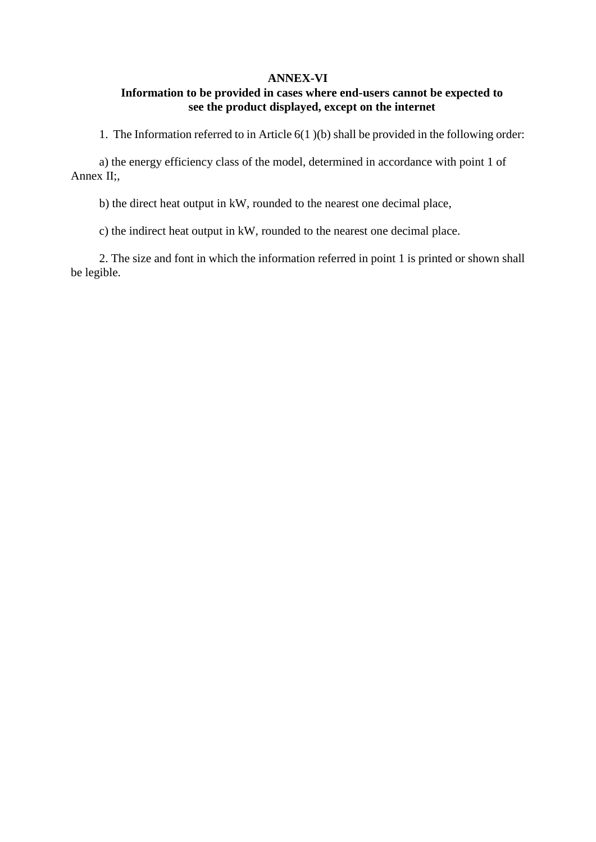### **ANNEX-VI**

## **Information to be provided in cases where end-users cannot be expected to see the product displayed, except on the internet**

1. The Information referred to in Article 6(1 )(b) shall be provided in the following order:

a) the energy efficiency class of the model, determined in accordance with point 1 of Annex II;,

b) the direct heat output in kW, rounded to the nearest one decimal place,

c) the indirect heat output in kW, rounded to the nearest one decimal place.

2. The size and font in which the information referred in point 1 is printed or shown shall be legible.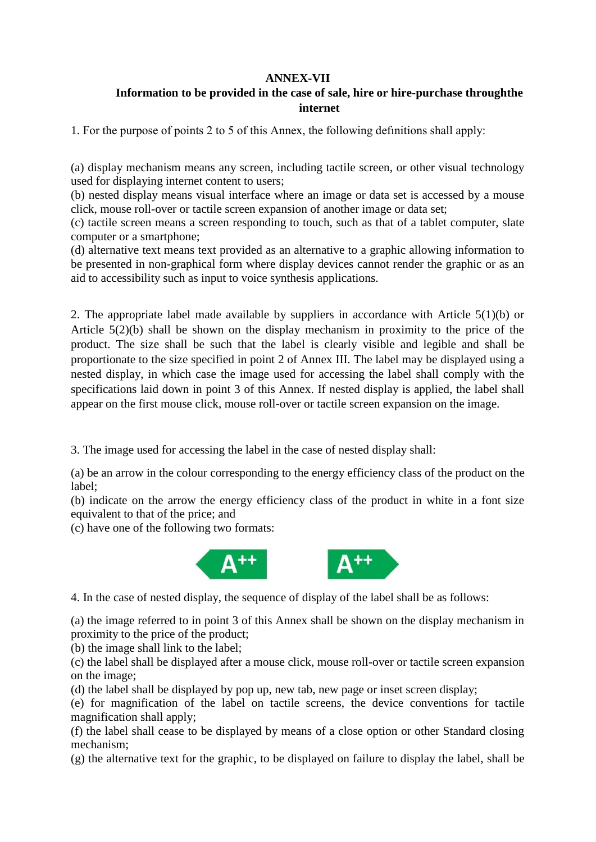## **ANNEX-VII**

## **Information to be provided in the case of sale, hire or hire-purchase throughthe internet**

1. For the purpose of points 2 to 5 of this Annex, the following defınitions shall apply:

(a) display mechanism means any screen, including tactile screen, or other visual technology used for displaying internet content to users;

(b) nested display means visual interface where an image or data set is accessed by a mouse click, mouse roll-over or tactile screen expansion of another image or data set;

(c) tactile screen means a screen responding to touch, such as that of a tablet computer, slate computer or a smartphone;

(d) alternative text means text provided as an alternative to a graphic allowing information to be presented in non-graphical form where display devices cannot render the graphic or as an aid to accessibility such as input to voice synthesis applications.

2. The appropriate label made available by suppliers in accordance with Article 5(1)(b) or Article 5(2)(b) shall be shown on the display mechanism in proximity to the price of the product. The size shall be such that the label is clearly visible and legible and shall be proportionate to the size specified in point 2 of Annex III. The label may be displayed using a nested display, in which case the image used for accessing the label shall comply with the specifications laid down in point 3 of this Annex. If nested display is applied, the label shall appear on the first mouse click, mouse roll-over or tactile screen expansion on the image.

3. The image used for accessing the label in the case of nested display shall:

(a) be an arrow in the colour corresponding to the energy efficiency class of the product on the label;

(b) indicate on the arrow the energy efficiency class of the product in white in a font size equivalent to that of the price; and

(c) have one of the following two formats:



4. In the case of nested display, the sequence of display of the label shall be as follows:

(a) the image referred to in point 3 of this Annex shall be shown on the display mechanism in proximity to the price of the product;

(b) the image shall link to the label;

(c) the label shall be displayed after a mouse click, mouse roll-over or tactile screen expansion on the image;

(d) the label shall be displayed by pop up, new tab, new page or inset screen display;

(e) for magnification of the label on tactile screens, the device conventions for tactile magnification shall apply;

(f) the label shall cease to be displayed by means of a close option or other Standard closing mechanism;

(g) the alternative text for the graphic, to be displayed on failure to display the label, shall be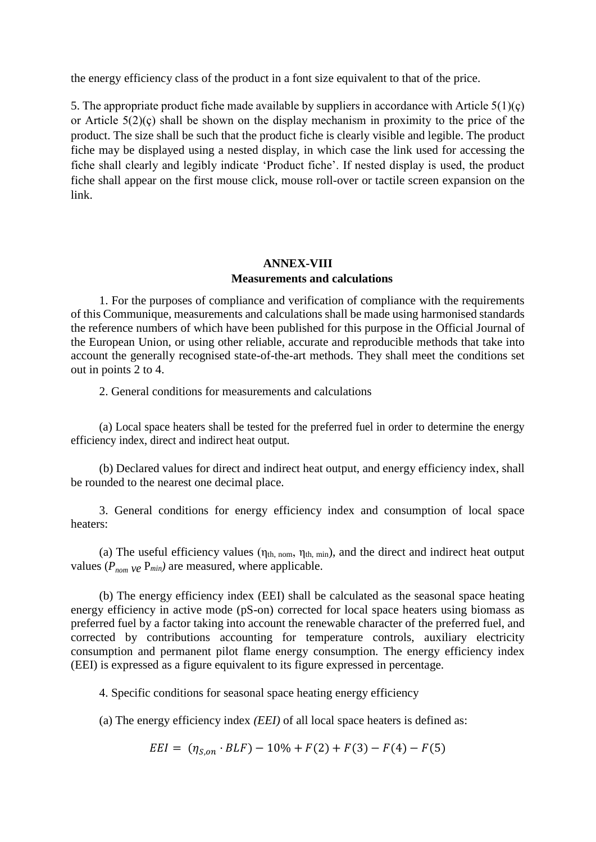the energy efficiency class of the product in a font size equivalent to that of the price.

5. The appropriate product fiche made available by suppliers in accordance with Article  $5(1)(c)$ or Article 5(2)(ç) shall be shown on the display mechanism in proximity to the price of the product. The size shall be such that the product fiche is clearly visible and legible. The product fiche may be displayed using a nested display, in which case the link used for accessing the fiche shall clearly and legibly indicate 'Product fiche'. If nested display is used, the product fiche shall appear on the first mouse click, mouse roll-over or tactile screen expansion on the link.

## **ANNEX-VIII Measurements and calculations**

1. For the purposes of compliance and verification of compliance with the requirements of this Communique, measurements and calculations shall be made using harmonised standards the reference numbers of which have been published for this purpose in the Official Journal of the European Union, or using other reliable, accurate and reproducible methods that take into account the generally recognised state-of-the-art methods. They shall meet the conditions set out in points 2 to 4.

2. General conditions for measurements and calculations

(a) Local space heaters shall be tested for the preferred fuel in order to determine the energy efficiency index, direct and indirect heat output.

(b) Declared values for direct and indirect heat output, and energy efficiency index, shall be rounded to the nearest one decimal place.

3. General conditions for energy efficiency index and consumption of local space heaters:

(a) The useful efficiency values ( $\eta_{th, nom}$ ,  $\eta_{th, min}$ ), and the direct and indirect heat output values ( $P_{nom}$   $ve$   $P_{min}$ ) are measured, where applicable.

(b) The energy efficiency index (EEI) shall be calculated as the seasonal space heating energy efficiency in active mode (pS-on) corrected for local space heaters using biomass as preferred fuel by a factor taking into account the renewable character of the preferred fuel, and corrected by contributions accounting for temperature controls, auxiliary electricity consumption and permanent pilot flame energy consumption. The energy efficiency index (EEI) is expressed as a figure equivalent to its figure expressed in percentage.

4. Specific conditions for seasonal space heating energy efficiency

(a) The energy efficiency index *(EEI)* of all local space heaters is defined as:

 $EEI = (\eta_{S, on} \cdot BLF) - 10\% + F(2) + F(3) - F(4) - F(5)$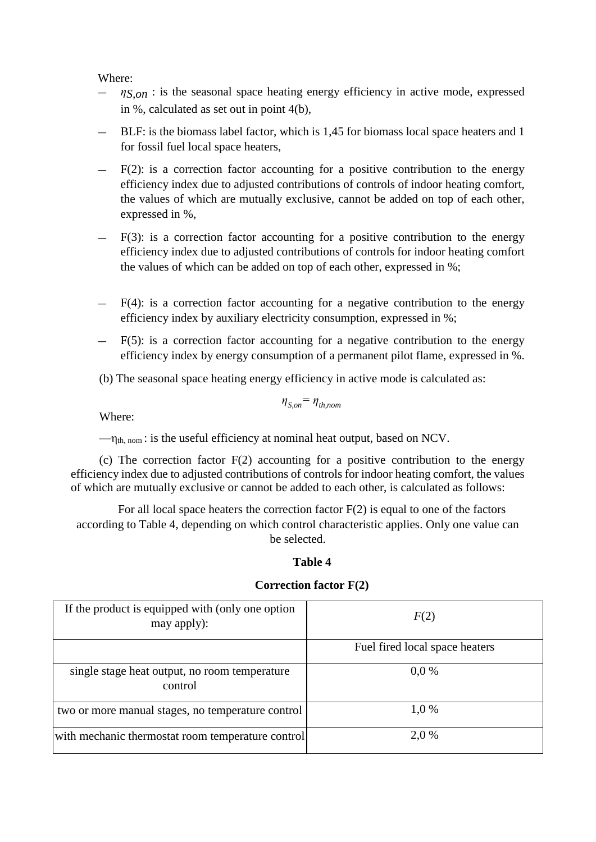Where:

- *ηS,on* : is the seasonal space heating energy efficiency in active mode, expressed in %, calculated as set out in point 4(b),
- BLF: is the biomass label factor, which is 1,45 for biomass local space heaters and 1 for fossil fuel local space heaters,
- $-$  F(2): is a correction factor accounting for a positive contribution to the energy efficiency index due to adjusted contributions of controls of indoor heating comfort, the values of which are mutually exclusive, cannot be added on top of each other, expressed in %,
- $F(3)$ : is a correction factor accounting for a positive contribution to the energy efficiency index due to adjusted contributions of controls for indoor heating comfort the values of which can be added on top of each other, expressed in %;
- $F(4)$ : is a correction factor accounting for a negative contribution to the energy efficiency index by auxiliary electricity consumption, expressed in %;
- $F(5)$ : is a correction factor accounting for a negative contribution to the energy efficiency index by energy consumption of a permanent pilot flame, expressed in %.
- (b) The seasonal space heating energy efficiency in active mode is calculated as:

$$
\eta_{S,on} = \eta_{th,nom}
$$

Where:

 $-\eta_{th, nom}$ : is the useful efficiency at nominal heat output, based on NCV.

(c) The correction factor F(2) accounting for a positive contribution to the energy efficiency index due to adjusted contributions of controls for indoor heating comfort, the values of which are mutually exclusive or cannot be added to each other, is calculated as follows:

For all local space heaters the correction factor  $F(2)$  is equal to one of the factors according to Table 4, depending on which control characteristic applies. Only one value can be selected.

### **Table 4**

### **Correction factor F(2)**

| If the product is equipped with (only one option<br>may apply): | F(2)                           |
|-----------------------------------------------------------------|--------------------------------|
|                                                                 | Fuel fired local space heaters |
| single stage heat output, no room temperature<br>control        | $0.0\%$                        |
| two or more manual stages, no temperature control               | 1.0 %                          |
| with mechanic thermostat room temperature control               | 2,0 %                          |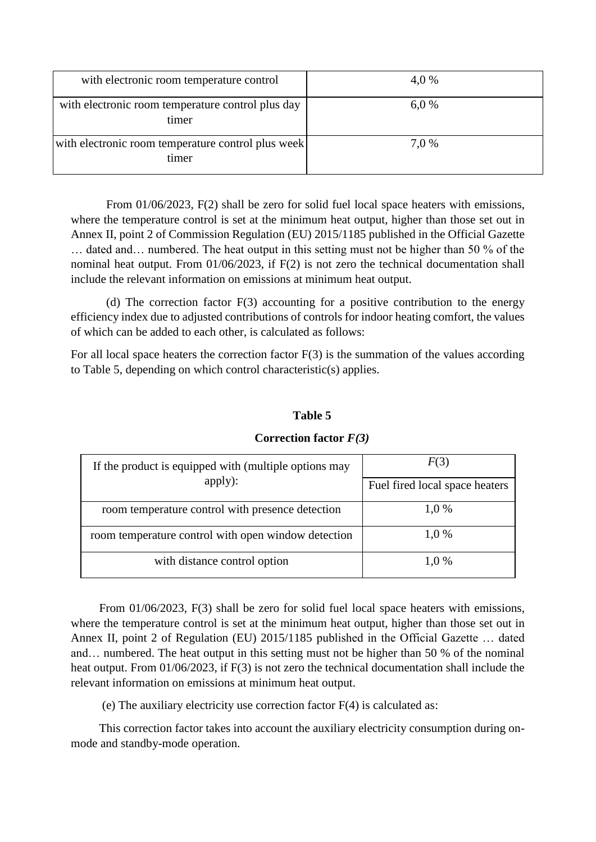| with electronic room temperature control                    | 4,0 % |
|-------------------------------------------------------------|-------|
| with electronic room temperature control plus day<br>timer  | 6.0%  |
| with electronic room temperature control plus week<br>timer | 7.0 % |

From 01/06/2023, F(2) shall be zero for solid fuel local space heaters with emissions, where the temperature control is set at the minimum heat output, higher than those set out in Annex II, point 2 of Commission Regulation (EU) 2015/1185 published in the Official Gazette … dated and… numbered. The heat output in this setting must not be higher than 50 % of the nominal heat output. From 01/06/2023, if F(2) is not zero the technical documentation shall include the relevant information on emissions at minimum heat output.

(d) The correction factor F(3) accounting for a positive contribution to the energy efficiency index due to adjusted contributions of controls for indoor heating comfort, the values of which can be added to each other, is calculated as follows:

For all local space heaters the correction factor  $F(3)$  is the summation of the values according to Table 5, depending on which control characteristic(s) applies.

### **Table 5**

| If the product is equipped with (multiple options may | F(3)                           |
|-------------------------------------------------------|--------------------------------|
| apply):                                               | Fuel fired local space heaters |
| room temperature control with presence detection      | 1.0%                           |
| room temperature control with open window detection   | 1.0%                           |
| with distance control option                          | 1.0%                           |

### **Correction factor** *F(3)*

From 01/06/2023, F(3) shall be zero for solid fuel local space heaters with emissions, where the temperature control is set at the minimum heat output, higher than those set out in Annex II, point 2 of Regulation (EU) 2015/1185 published in the Official Gazette … dated and… numbered. The heat output in this setting must not be higher than 50 % of the nominal heat output. From 01/06/2023, if F(3) is not zero the technical documentation shall include the relevant information on emissions at minimum heat output.

(e) The auxiliary electricity use correction factor F(4) is calculated as:

This correction factor takes into account the auxiliary electricity consumption during onmode and standby-mode operation.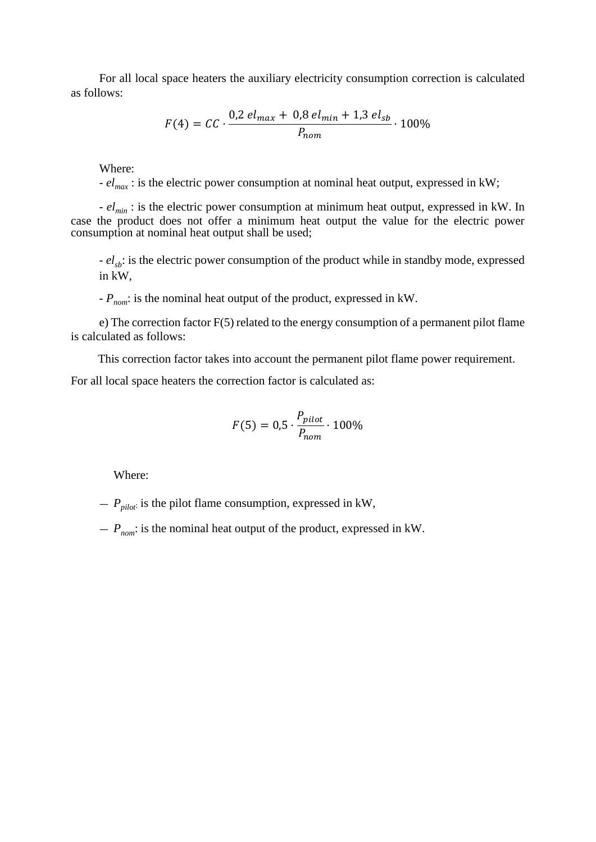For all local space heaters the auxiliary electricity consumption correction is calculated as follows:

$$
F(4) = CC \cdot \frac{0.2 \text{ el}_{max} + 0.8 \text{ el}_{min} + 1.3 \text{ el}_{sb}}{P_{nom}} \cdot 100\%
$$

Where:

*- elmax* : is the electric power consumption at nominal heat output, expressed in kW;

*- elmin* : is the electric power consumption at minimum heat output, expressed in kW. In case the product does not offer a minimum heat output the value for the electric power consumption at nominal heat output shall be used;

*-*  $el_{sb}$ : is the electric power consumption of the product while in standby mode, expressed in kW,

*- Pnom*: is the nominal heat output of the product, expressed in kW.

e) The correction factor F(5) related to the energy consumption of a permanent pilot flame is calculated as follows:

This correction factor takes into account the permanent pilot flame power requirement.

For all local space heaters the correction factor is calculated as:

$$
F(5) = 0.5 \cdot \frac{P_{pilot}}{P_{nom}} \cdot 100\%
$$

Where:

 $-P_{pilot}$  is the pilot flame consumption, expressed in kW,

 $P_{\text{nom}}$ : is the nominal heat output of the product, expressed in kW.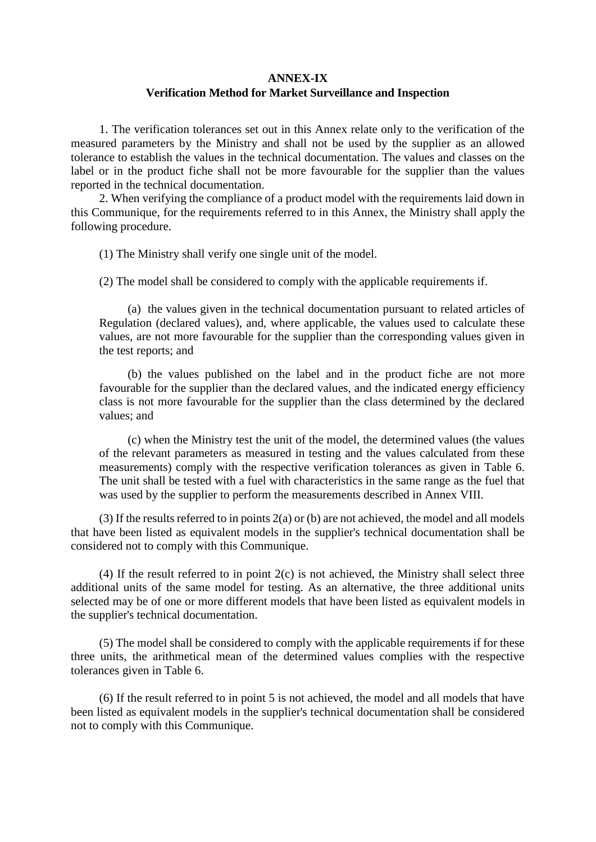## **ANNEX-IX Verification Method for Market Surveillance and Inspection**

1. The verification tolerances set out in this Annex relate only to the verification of the measured parameters by the Ministry and shall not be used by the supplier as an allowed tolerance to establish the values in the technical documentation. The values and classes on the label or in the product fiche shall not be more favourable for the supplier than the values reported in the technical documentation.

2. When verifying the compliance of a product model with the requirements laid down in this Communique, for the requirements referred to in this Annex, the Ministry shall apply the following procedure.

(1) The Ministry shall verify one single unit of the model.

(2) The model shall be considered to comply with the applicable requirements if.

(a) the values given in the technical documentation pursuant to related articles of Regulation (declared values), and, where applicable, the values used to calculate these values, are not more favourable for the supplier than the corresponding values given in the test reports; and

(b) the values published on the label and in the product fiche are not more favourable for the supplier than the declared values, and the indicated energy efficiency class is not more favourable for the supplier than the class determined by the declared values; and

(c) when the Ministry test the unit of the model, the determined values (the values of the relevant parameters as measured in testing and the values calculated from these measurements) comply with the respective verification tolerances as given in Table 6. The unit shall be tested with a fuel with characteristics in the same range as the fuel that was used by the supplier to perform the measurements described in Annex VIII.

 $(3)$  If the results referred to in points  $2(a)$  or (b) are not achieved, the model and all models that have been listed as equivalent models in the supplier's technical documentation shall be considered not to comply with this Communique.

(4) If the result referred to in point 2(c) is not achieved, the Ministry shall select three additional units of the same model for testing. As an alternative, the three additional units selected may be of one or more different models that have been listed as equivalent models in the supplier's technical documentation.

(5) The model shall be considered to comply with the applicable requirements if for these three units, the arithmetical mean of the determined values complies with the respective tolerances given in Table 6.

(6) If the result referred to in point 5 is not achieved, the model and all models that have been listed as equivalent models in the supplier's technical documentation shall be considered not to comply with this Communique.